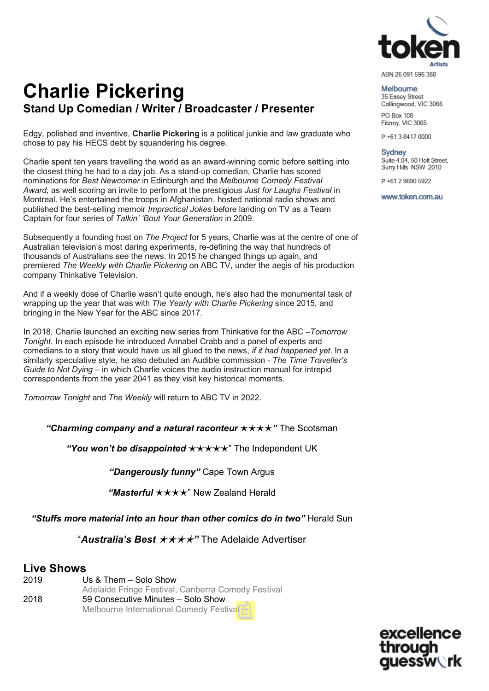

Melbourne

35 Easey Street Collingwood, VIC 3066 PO Box 108 Fitzroy, VIC 3065

P+61384170000

Sydney Suite 4.04, 50 Holt Street, Surry Hills NSW 2010

P+61 2 9690 5922

www.token.com.au

# **Charlie Pickering Stand Up Comedian / Writer / Broadcaster / Presenter**

Edgy, polished and inventive, **Charlie Pickering** is a political junkie and law graduate who chose to pay his HECS debt by squandering his degree.

Charlie spent ten years travelling the world as an award-winning comic before settling into the closest thing he had to a day job. As a stand-up comedian, Charlie has scored nominations for *Best Newcomer* in Edinburgh and the *Melbourne Comedy Festival Award,* as well scoring an invite to perform at the prestigious *Just for Laughs Festival* in Montreal. He's entertained the troops in Afghanistan, hosted national radio shows and published the best-selling memoir *Impractical Jokes* before landing on TV as a Team Captain for four series of *Talkin' 'Bout Your Generation* in 2009.

Subsequently a founding host on *The Project* for 5 years, Charlie was at the centre of one of Australian television's most daring experiments, re-defining the way that hundreds of thousands of Australians see the news. In 2015 he changed things up again, and premiered *The Weekly with Charlie Pickering* on ABC TV, under the aegis of his production company Thinkative Television.

And if a weekly dose of Charlie wasn't quite enough, he's also had the monumental task of wrapping up the year that was with *The Yearly with Charlie Pickering* since 2015, and bringing in the New Year for the ABC since 2017.

In 2018, Charlie launched an exciting new series from Thinkative for the ABC –*Tomorrow Tonight*. In each episode he introduced Annabel Crabb and a panel of experts and comedians to a story that would have us all glued to the news, *if it had happened yet*. In a similarly speculative style, he also debuted an Audible commission - *The Time Traveller's Guide to Not Dying* – in which Charlie voices the audio instruction manual for intrepid correspondents from the year 2041 as they visit key historical moments.

*Tomorrow Tonight* and *The Weekly* will return to ABC TV in 2022.

*"Charming company and a natural raconteur*  $\star \star \star \star$ " The Scotsman

*"You won't be disappointed*  $\star\star\star\star\star$ " The Independent UK

*"Dangerously funny"* Cape Town Argus

"Masterful \* \* \* \* New Zealand Herald

"Stuffs more material into an hour than other comics do in two" Herald Sun

"**Australia's Best ★★★★**" The Adelaide Advertiser

### **Live Shows**

| 2019 | Us & Them - Solo Show                              |
|------|----------------------------------------------------|
|      | Adelaide Fringe Festival, Canberra Comedy Festival |
| 2018 | 59 Consecutive Minutes - Solo Show                 |
|      | Melbourne International Comedy Festival            |

excellence essw∖rk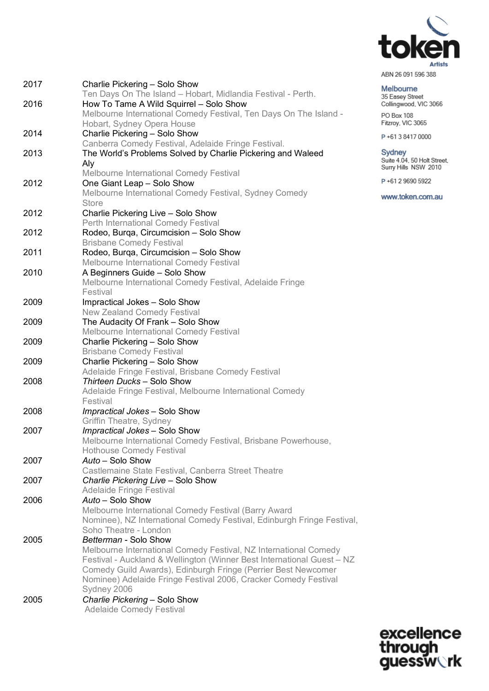

| ABN 26 091 596 388 |  |  |
|--------------------|--|--|
|                    |  |  |

Melbourne 35 Easey Street<br>Collingwood, VIC 3066 PO Box 108

Fitzroy, VIC 3065

P+61384170000

Sydney<br>Suite 4.04, 50 Holt Street,<br>Surry Hills NSW 2010

P+61 2 9690 5922

www.token.com.au

|      | Ten Days On The Island - Hobart, Midlandia Festival - Perth.                 |
|------|------------------------------------------------------------------------------|
|      |                                                                              |
| 2016 | How To Tame A Wild Squirrel - Solo Show                                      |
|      | Melbourne International Comedy Festival, Ten Days On The Island -            |
| 2014 | Hobart, Sydney Opera House<br>Charlie Pickering - Solo Show                  |
|      | Canberra Comedy Festival, Adelaide Fringe Festival.                          |
|      |                                                                              |
| 2013 | The World's Problems Solved by Charlie Pickering and Waleed                  |
|      | Aly                                                                          |
| 2012 | <b>Melbourne International Comedy Festival</b><br>One Giant Leap - Solo Show |
|      | Melbourne International Comedy Festival, Sydney Comedy                       |
|      | <b>Store</b>                                                                 |
| 2012 | Charlie Pickering Live - Solo Show                                           |
|      | Perth International Comedy Festival                                          |
| 2012 | Rodeo, Burqa, Circumcision - Solo Show                                       |
|      | <b>Brisbane Comedy Festival</b>                                              |
| 2011 | Rodeo, Burga, Circumcision - Solo Show                                       |
|      | Melbourne International Comedy Festival                                      |
| 2010 | A Beginners Guide - Solo Show                                                |
|      | Melbourne International Comedy Festival, Adelaide Fringe                     |
|      | Festival                                                                     |
| 2009 | Impractical Jokes - Solo Show                                                |
|      | <b>New Zealand Comedy Festival</b>                                           |
| 2009 | The Audacity Of Frank - Solo Show                                            |
|      | Melbourne International Comedy Festival                                      |
| 2009 | Charlie Pickering - Solo Show                                                |
|      | <b>Brisbane Comedy Festival</b>                                              |
| 2009 | Charlie Pickering - Solo Show                                                |
|      | Adelaide Fringe Festival, Brisbane Comedy Festival                           |
| 2008 | Thirteen Ducks - Solo Show                                                   |
|      | Adelaide Fringe Festival, Melbourne International Comedy                     |
|      | Festival                                                                     |
| 2008 | Impractical Jokes - Solo Show                                                |
|      | Griffin Theatre, Sydney                                                      |
| 2007 | Impractical Jokes - Solo Show                                                |
|      | Melbourne International Comedy Festival, Brisbane Powerhouse,                |
|      | <b>Hothouse Comedy Festival</b>                                              |
| 2007 | Auto - Solo Show                                                             |
|      | Castlemaine State Festival, Canberra Street Theatre                          |
| 2007 | Charlie Pickering Live - Solo Show                                           |
|      | <b>Adelaide Fringe Festival</b>                                              |
| 2006 | Auto - Solo Show                                                             |
|      | Melbourne International Comedy Festival (Barry Award                         |
|      | Nominee), NZ International Comedy Festival, Edinburgh Fringe Festival,       |
|      | Soho Theatre - London                                                        |
| 2005 | Betterman - Solo Show                                                        |
|      | Melbourne International Comedy Festival, NZ International Comedy             |
|      | Festival - Auckland & Wellington (Winner Best International Guest - NZ       |
|      | Comedy Guild Awards), Edinburgh Fringe (Perrier Best Newcomer                |
|      | Nominee) Adelaide Fringe Festival 2006, Cracker Comedy Festival              |
|      | Sydney 2006                                                                  |
| 2005 | Charlie Pickering - Solo Show                                                |
|      | <b>Adelaide Comedy Festival</b>                                              |

Charlie Pickering - Solo Show

2017

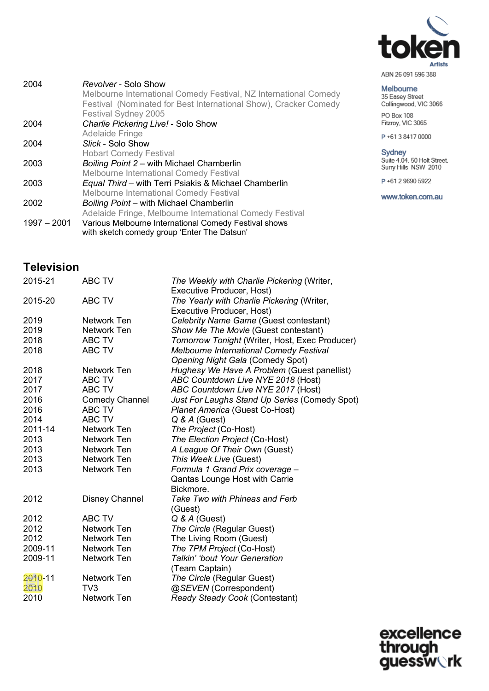

| ABN 26 091 596 388 |  |  |
|--------------------|--|--|
|                    |  |  |

| Melbourne             |
|-----------------------|
| 35 Easey Street       |
| Collingwood, VIC 3066 |
| PO Box 108            |

Fitzroy, VIC 3065

P+61384170000

Sydney<br>Suite 4.04, 50 Holt Street,<br>Surry Hills NSW 2010

P+61 2 9690 5922

www.token.com.au

| 2004          | Revolver - Solo Show                                             |
|---------------|------------------------------------------------------------------|
|               | Melbourne International Comedy Festival, NZ International Comedy |
|               | Festival (Nominated for Best International Show), Cracker Comedy |
|               | Festival Sydney 2005                                             |
| 2004          | Charlie Pickering Live! - Solo Show                              |
|               | <b>Adelaide Fringe</b>                                           |
| 2004          | Slick - Solo Show                                                |
|               | <b>Hobart Comedy Festival</b>                                    |
| 2003          | Boiling Point 2 - with Michael Chamberlin                        |
|               | Melbourne International Comedy Festival                          |
| 2003          | Equal Third - with Terri Psiakis & Michael Chamberlin            |
|               | <b>Melbourne International Comedy Festival</b>                   |
| 2002          | Boiling Point - with Michael Chamberlin                          |
|               | Adelaide Fringe, Melbourne International Comedy Festival         |
| $1997 - 2001$ | Various Melbourne International Comedy Festival shows            |
|               | with sketch comedy group 'Enter The Datsun'                      |
|               |                                                                  |

## **Television**

| 2015-21 | ABC TV                | The Weekly with Charlie Pickering (Writer,     |
|---------|-----------------------|------------------------------------------------|
|         |                       | Executive Producer, Host)                      |
| 2015-20 | ABC TV                | The Yearly with Charlie Pickering (Writer,     |
|         |                       | Executive Producer, Host)                      |
| 2019    | Network Ten           | Celebrity Name Game (Guest contestant)         |
| 2019    | Network Ten           | Show Me The Movie (Guest contestant)           |
| 2018    | ABC TV                | Tomorrow Tonight (Writer, Host, Exec Producer) |
| 2018    | ABC TV                | Melbourne International Comedy Festival        |
|         |                       | Opening Night Gala (Comedy Spot)               |
| 2018    | Network Ten           | Hughesy We Have A Problem (Guest panellist)    |
| 2017    | ABC TV                | ABC Countdown Live NYE 2018 (Host)             |
| 2017    | ABC TV                | ABC Countdown Live NYE 2017 (Host)             |
| 2016    | <b>Comedy Channel</b> | Just For Laughs Stand Up Series (Comedy Spot)  |
| 2016    | ABC TV                | Planet America (Guest Co-Host)                 |
| 2014    | <b>ABC TV</b>         | $Q & A$ (Guest)                                |
| 2011-14 | Network Ten           | The Project (Co-Host)                          |
| 2013    | Network Ten           | The Election Project (Co-Host)                 |
| 2013    | Network Ten           | A League Of Their Own (Guest)                  |
| 2013    | Network Ten           | This Week Live (Guest)                         |
| 2013    | Network Ten           | Formula 1 Grand Prix coverage -                |
|         |                       | Qantas Lounge Host with Carrie                 |
|         |                       | Bickmore.                                      |
| 2012    | <b>Disney Channel</b> | Take Two with Phineas and Ferb                 |
|         |                       | (Guest)                                        |
| 2012    | <b>ABC TV</b>         | $Q & A$ (Guest)                                |
| 2012    | Network Ten           | The Circle (Regular Guest)                     |
| 2012    | Network Ten           | The Living Room (Guest)                        |
| 2009-11 | Network Ten           | The 7PM Project (Co-Host)                      |
| 2009-11 | Network Ten           | Talkin' 'bout Your Generation                  |
|         |                       | (Team Captain)                                 |
| 2010-11 | Network Ten           | The Circle (Regular Guest)                     |
| 2010    | TV <sub>3</sub>       | @SEVEN (Correspondent)                         |
| 2010    | Network Ten           | Ready Steady Cook (Contestant)                 |
|         |                       |                                                |

excellence<br>through<br>guessw**ork**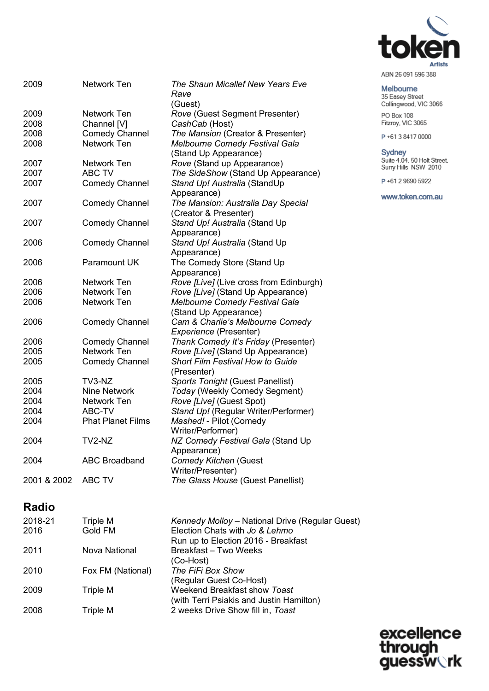

#### Melbourne

35 Easey Street<br>Collingwood, VIC 3066 PO Box 108<br>Fitzroy, VIC 3065

P+61384170000

Sydney<br>Suite 4.04, 50 Holt Street,<br>Surry Hills NSW 2010

P+61 2 9690 5922

www.token.com.au

| 2009        | <b>Network Ten</b>       | The Shaun Micallef New Years Eve<br>Rave |
|-------------|--------------------------|------------------------------------------|
|             |                          | (Guest)                                  |
| 2009        | <b>Network Ten</b>       | Rove (Guest Segment Presenter)           |
| 2008        | Channel [V]              | CashCab (Host)                           |
| 2008        | <b>Comedy Channel</b>    | The Mansion (Creator & Presenter)        |
| 2008        | <b>Network Ten</b>       | Melbourne Comedy Festival Gala           |
|             |                          | (Stand Up Appearance)                    |
| 2007        | <b>Network Ten</b>       | Rove (Stand up Appearance)               |
| 2007        | <b>ABC TV</b>            | The SideShow (Stand Up Appearance)       |
| 2007        | <b>Comedy Channel</b>    | Stand Up! Australia (StandUp             |
|             |                          | Appearance)                              |
| 2007        | <b>Comedy Channel</b>    | The Mansion: Australia Day Special       |
|             |                          | (Creator & Presenter)                    |
| 2007        | <b>Comedy Channel</b>    | Stand Up! Australia (Stand Up            |
|             |                          | Appearance)                              |
| 2006        | <b>Comedy Channel</b>    | Stand Up! Australia (Stand Up            |
|             |                          | Appearance)                              |
| 2006        | Paramount UK             | The Comedy Store (Stand Up               |
|             |                          | Appearance)                              |
| 2006        | Network Ten              | Rove [Live] (Live cross from Edinburgh)  |
| 2006        | <b>Network Ten</b>       | Rove [Live] (Stand Up Appearance)        |
| 2006        | <b>Network Ten</b>       | Melbourne Comedy Festival Gala           |
|             |                          | (Stand Up Appearance)                    |
| 2006        | <b>Comedy Channel</b>    | Cam & Charlie's Melbourne Comedy         |
|             |                          | Experience (Presenter)                   |
| 2006        | <b>Comedy Channel</b>    | Thank Comedy It's Friday (Presenter)     |
| 2005        | <b>Network Ten</b>       | Rove [Live] (Stand Up Appearance)        |
| 2005        | <b>Comedy Channel</b>    | Short Film Festival How to Guide         |
|             |                          | (Presenter)                              |
| 2005        | TV3-NZ                   | Sports Tonight (Guest Panellist)         |
| 2004        | Nine Network             | Today (Weekly Comedy Segment)            |
| 2004        | Network Ten              | Rove [Live] (Guest Spot)                 |
| 2004        | ABC-TV                   | Stand Up! (Regular Writer/Performer)     |
| 2004        | <b>Phat Planet Films</b> | Mashed! - Pilot (Comedy                  |
|             |                          | Writer/Performer)                        |
| 2004        | TV2-NZ                   | NZ Comedy Festival Gala (Stand Up        |
|             |                          | Appearance)                              |
| 2004        | <b>ABC Broadband</b>     | Comedy Kitchen (Guest                    |
|             |                          | Writer/Presenter)                        |
| 2001 & 2002 | <b>ABC TV</b>            | The Glass House (Guest Panellist)        |

## **Radio**

| 2018-21 | Triple M          | Kennedy Molloy - National Drive (Regular Guest) |
|---------|-------------------|-------------------------------------------------|
| 2016    | Gold FM           | Election Chats with Jo & Lehmo                  |
|         |                   | Run up to Election 2016 - Breakfast             |
| 2011    | Nova National     | Breakfast - Two Weeks                           |
|         |                   | (Co-Host)                                       |
| 2010    | Fox FM (National) | The FiFi Box Show                               |
|         |                   | (Regular Guest Co-Host)                         |
| 2009    | Triple M          | Weekend Breakfast show Toast                    |
|         |                   | (with Terri Psiakis and Justin Hamilton)        |
| 2008    | Triple M          | 2 weeks Drive Show fill in, Toast               |
|         |                   |                                                 |

excellence<br>through<br>guessw**ork**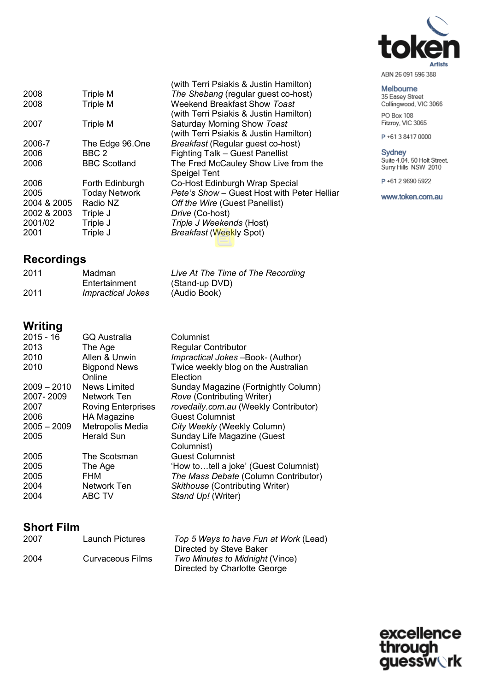

#### Melbourne

35 Easey Street<br>Collingwood, VIC 3066 PO Box 108 Fitzroy, VIC 3065

P+61384170000

Sydney<br>Suite 4.04, 50 Holt Street,<br>Surry Hills NSW 2010

P+61 2 9690 5922

www.token.com.au

| 2008        | Triple M             | The Shebang (regular guest co-host)         |
|-------------|----------------------|---------------------------------------------|
| 2008        | Triple M             | Weekend Breakfast Show Toast                |
|             |                      | (with Terri Psiakis & Justin Hamilton)      |
| 2007        | Triple M             | Saturday Morning Show Toast                 |
|             |                      | (with Terri Psiakis & Justin Hamilton)      |
| 2006-7      | The Edge 96.One      | Breakfast (Regular guest co-host)           |
| 2006        | BBC <sub>2</sub>     | Fighting Talk - Guest Panellist             |
| 2006        | <b>BBC Scotland</b>  | The Fred McCauley Show Live from the        |
|             |                      | <b>Speigel Tent</b>                         |
| 2006        | Forth Edinburgh      | Co-Host Edinburgh Wrap Special              |
| 2005        | <b>Today Network</b> | Pete's Show - Guest Host with Peter Helliar |
| 2004 & 2005 | Radio NZ             | Off the Wire (Guest Panellist)              |
| 2002 & 2003 | Triple J             | Drive (Co-host)                             |
| 2001/02     | Triple J             | Triple J Weekends (Host)                    |
| 2001        | Triple J             | <b>Breakfast (Weekly Spot)</b>              |
|             |                      |                                             |

## **Recordings**

| 2011 | Madman                   | Live At The Time of The Recording |
|------|--------------------------|-----------------------------------|
|      | Entertainment            | (Stand-up DVD)                    |
| 2011 | <b>Impractical Jokes</b> | (Audio Book)                      |

(with Terri Psiakis & Justin Hamilton)

## **Writing**

| $2015 - 16$   | <b>GQ Australia</b>       | Columnist                             |
|---------------|---------------------------|---------------------------------------|
| 2013          | The Age                   | <b>Regular Contributor</b>            |
| 2010          | Allen & Unwin             | Impractical Jokes-Book- (Author)      |
| 2010          | <b>Bigpond News</b>       | Twice weekly blog on the Australian   |
|               | Online                    | Election                              |
| $2009 - 2010$ | News Limited              | Sunday Magazine (Fortnightly Column)  |
| 2007-2009     | Network Ten               | Rove (Contributing Writer)            |
| 2007          | <b>Roving Enterprises</b> | rovedaily.com.au (Weekly Contributor) |
| 2006          | <b>HA Magazine</b>        | <b>Guest Columnist</b>                |
| $2005 - 2009$ | Metropolis Media          | City Weekly (Weekly Column)           |
| 2005          | <b>Herald Sun</b>         | Sunday Life Magazine (Guest           |
|               |                           | Columnist)                            |
| 2005          | The Scotsman              | <b>Guest Columnist</b>                |
| 2005          | The Age                   | 'How totell a joke' (Guest Columnist) |
| 2005          | <b>FHM</b>                | The Mass Debate (Column Contributor)  |
| 2004          | Network Ten               | Skithouse (Contributing Writer)       |
| 2004          | <b>ABC TV</b>             | Stand Up! (Writer)                    |

## **Short Film**

| 2007 | Launch Pictures  | Top 5 Ways to have Fun at Work (Lead) |
|------|------------------|---------------------------------------|
|      |                  | Directed by Steve Baker               |
| 2004 | Curvaceous Films | Two Minutes to Midnight (Vince)       |
|      |                  | Directed by Charlotte George          |

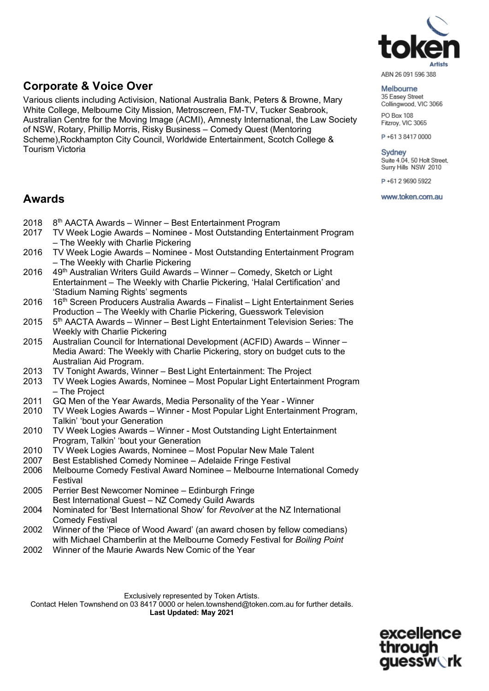

#### **Corporate & Voice Over**

Various clients including Activision, National Australia Bank, Peters & Browne, Mary White College, Melbourne City Mission, Metroscreen, FM-TV, Tucker Seabrook, Australian Centre for the Moving Image (ACMI), Amnesty International, the Law Society of NSW, Rotary, Phillip Morris, Risky Business – Comedy Quest (Mentoring Scheme),Rockhampton City Council, Worldwide Entertainment, Scotch College & Tourism Victoria

### **Awards**

- 2018 8<sup>th</sup> AACTA Awards Winner Best Entertainment Program
- 2017 TV Week Logie Awards Nominee Most Outstanding Entertainment Program – The Weekly with Charlie Pickering
- 2016 TV Week Logie Awards Nominee Most Outstanding Entertainment Program – The Weekly with Charlie Pickering
- 2016 49th Australian Writers Guild Awards Winner Comedy, Sketch or Light Entertainment – The Weekly with Charlie Pickering, 'Halal Certification' and 'Stadium Naming Rights' segments
- 2016 16th Screen Producers Australia Awards Finalist Light Entertainment Series Production – The Weekly with Charlie Pickering, Guesswork Television
- 2015 5th AACTA Awards Winner Best Light Entertainment Television Series: The Weekly with Charlie Pickering
- 2015 Australian Council for International Development (ACFID) Awards Winner Media Award: The Weekly with Charlie Pickering, story on budget cuts to the Australian Aid Program.
- 2013 TV Tonight Awards, Winner Best Light Entertainment: The Project
- 2013 TV Week Logies Awards, Nominee Most Popular Light Entertainment Program – The Project
- 2011 GQ Men of the Year Awards, Media Personality of the Year Winner<br>2010 TV Week Logies Awards Winner Most Popular Light Entertainmer
- 2010 TV Week Logies Awards Winner Most Popular Light Entertainment Program, Talkin' 'bout your Generation
- 2010 TV Week Logies Awards Winner Most Outstanding Light Entertainment Program, Talkin' 'bout your Generation
- 2010 TV Week Logies Awards, Nominee Most Popular New Male Talent
- 2007 Best Established Comedy Nominee Adelaide Fringe Festival
- 2006 Melbourne Comedy Festival Award Nominee Melbourne International Comedy Festival
- 2005 Perrier Best Newcomer Nominee Edinburgh Fringe Best International Guest – NZ Comedy Guild Awards
- 2004 Nominated for 'Best International Show' for *Revolver* at the NZ International Comedy Festival
- 2002 Winner of the 'Piece of Wood Award' (an award chosen by fellow comedians) with Michael Chamberlin at the Melbourne Comedy Festival for *Boiling Point*
- 2002 Winner of the Maurie Awards New Comic of the Year

Exclusively represented by Token Artists. Contact Helen Townshend on 03 8417 0000 or helen.townshend@token.com.au for further details. **Last Updated: May 2021**

> excellence essw∖rk

#### Melbourne

35 Easey Street Collingwood, VIC 3066 PO Box 108

Fitzroy, VIC 3065

P+61384170000

#### Sydney

Suite 4.04, 50 Holt Street, Surry Hills NSW 2010

P+61 2 9690 5922

www.token.com.au